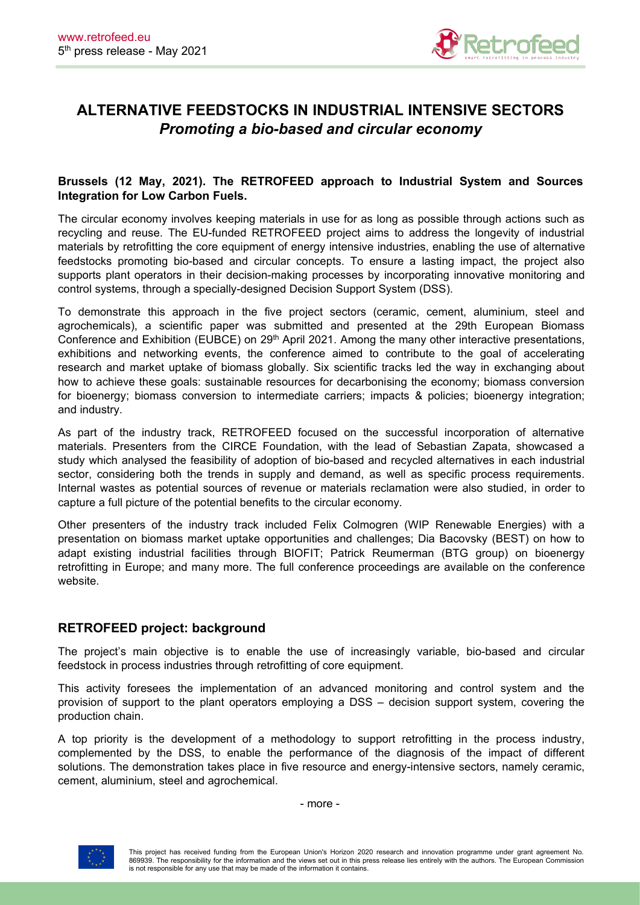

# **ALTERNATIVE FEEDSTOCKS IN INDUSTRIAL INTENSIVE SECTORS** *Promoting a bio-based and circular economy*

## **Brussels (12 May, 2021). The RETROFEED approach to Industrial System and Sources Integration for Low Carbon Fuels.**

The circular economy involves keeping materials in use for as long as possible through actions such as recycling and reuse. The EU-funded RETROFEED project aims to address the longevity of industrial materials by retrofitting the core equipment of energy intensive industries, enabling the use of alternative feedstocks promoting bio-based and circular concepts. To ensure a lasting impact, the project also supports plant operators in their decision-making processes by incorporating innovative monitoring and control systems, through a specially-designed Decision Support System (DSS).

To demonstrate this approach in the five project sectors (ceramic, cement, aluminium, steel and agrochemicals), a scientific paper was submitted and presented at the 29th European Biomass Conference and Exhibition (EUBCE) on 29<sup>th</sup> April 2021. Among the many other interactive presentations, exhibitions and networking events, the conference aimed to contribute to the goal of accelerating research and market uptake of biomass globally. Six scientific tracks led the way in exchanging about how to achieve these goals: sustainable resources for decarbonising the economy; biomass conversion for bioenergy; biomass conversion to intermediate carriers; impacts & policies; bioenergy integration; and industry.

As part of the industry track, RETROFEED focused on the successful incorporation of alternative materials. Presenters from the CIRCE Foundation, with the lead of Sebastian Zapata, showcased a study which analysed the feasibility of adoption of bio-based and recycled alternatives in each industrial sector, considering both the trends in supply and demand, as well as specific process requirements. Internal wastes as potential sources of revenue or materials reclamation were also studied, in order to capture a full picture of the potential benefits to the circular economy.

Other presenters of the industry track included Felix Colmogren (WIP Renewable Energies) with a presentation on biomass market uptake opportunities and challenges; Dia Bacovsky (BEST) on how to adapt existing industrial facilities through BIOFIT; Patrick Reumerman (BTG group) on bioenergy retrofitting in Europe; and many more. The full conference proceedings are available on the conference website.

## **RETROFEED project: background**

The project's main objective is to enable the use of increasingly variable, bio-based and circular feedstock in process industries through retrofitting of core equipment.

This activity foresees the implementation of an advanced monitoring and control system and the provision of support to the plant operators employing a DSS – decision support system, covering the production chain.

A top priority is the development of a methodology to support retrofitting in the process industry, complemented by the DSS, to enable the performance of the diagnosis of the impact of different solutions. The demonstration takes place in five resource and energy-intensive sectors, namely ceramic, cement, aluminium, steel and agrochemical.

- more -